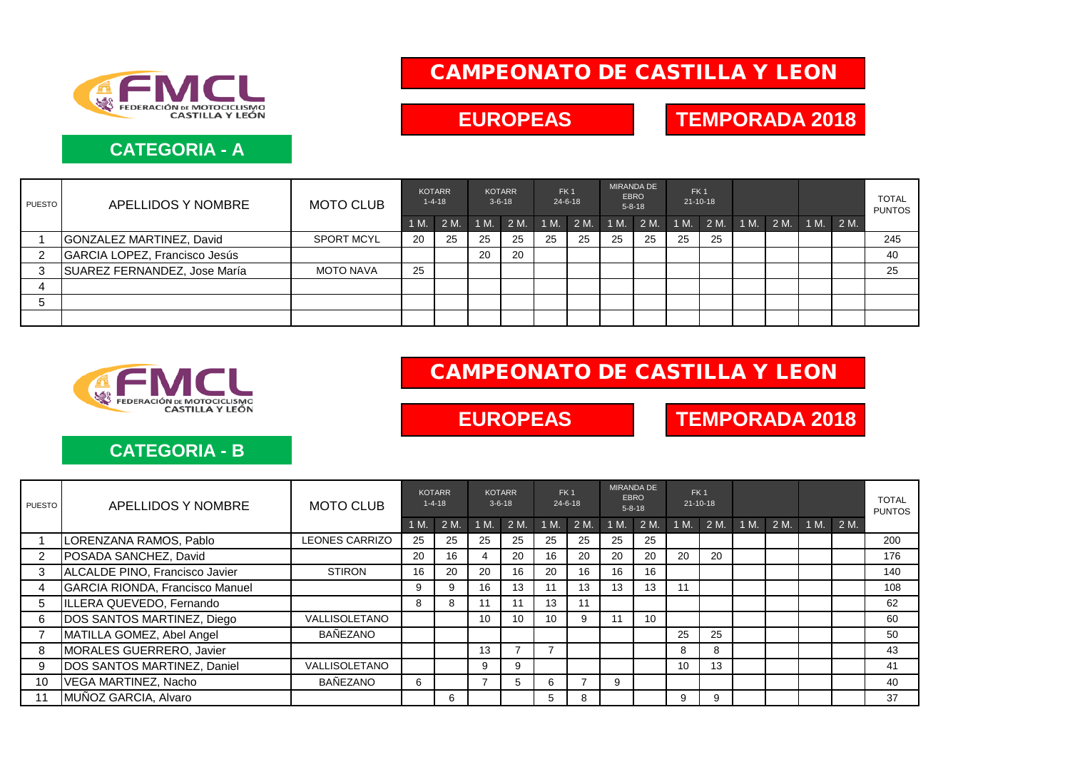

### **CATEGORIA - A**

# CAMPEONATO DE CASTILLA Y LEON

EUROPEAS **TEMPORADA 2018** 

| PUESTO | APELLIDOS Y NOMBRE            | <b>MOTO CLUB</b>  | <b>KOTARR</b><br>$1 - 4 - 18$ |      | <b>KOTARR</b><br>$3 - 6 - 18$ |        | FK <sub>1</sub><br>$24 - 6 - 18$ |           | <b>MIRANDA DE</b><br><b>EBRO</b><br>$5 - 8 - 18$ |    | FK <sub>1</sub><br>$21 - 10 - 18$ |                          |  |  |  | <b>TOTAL</b><br><b>PUNTOS</b> |
|--------|-------------------------------|-------------------|-------------------------------|------|-------------------------------|--------|----------------------------------|-----------|--------------------------------------------------|----|-----------------------------------|--------------------------|--|--|--|-------------------------------|
|        |                               |                   | 1 M                           | 2 M. | 1 M.                          | $2M$ . | 1 M.                             | 2 M. 1 M. |                                                  | 2M | 1 M.                              | 2 M. 1 M. 2 M. 1 M. 2 M. |  |  |  |                               |
|        | GONZALEZ MARTINEZ, David      | <b>SPORT MCYL</b> | 20                            | 25   | 25                            | 25     | 25                               | 25        | 25                                               | 25 | 25                                | 25                       |  |  |  | 245                           |
| 2      | GARCIA LOPEZ, Francisco Jesús |                   |                               |      | 20                            | 20     |                                  |           |                                                  |    |                                   |                          |  |  |  | 40                            |
| 3      | SUAREZ FERNANDEZ, Jose María  | <b>MOTO NAVA</b>  | 25                            |      |                               |        |                                  |           |                                                  |    |                                   |                          |  |  |  | 25                            |
|        |                               |                   |                               |      |                               |        |                                  |           |                                                  |    |                                   |                          |  |  |  |                               |
|        |                               |                   |                               |      |                               |        |                                  |           |                                                  |    |                                   |                          |  |  |  |                               |
|        |                               |                   |                               |      |                               |        |                                  |           |                                                  |    |                                   |                          |  |  |  |                               |



### CAMPEONATO DE CASTILLA Y LEON

EUROPEAS **TEMPORADA 2018** 

#### **CATEGORIA - B**

| <b>PUESTO</b>  | APELLIDOS Y NOMBRE                     | <b>MOTO CLUB</b>      | <b>KOTARR</b><br>$1 - 4 - 18$ |    | $3 - 6 - 18$ | <b>KOTARR</b> | FK <sub>1</sub><br>$24 - 6 - 18$ |      | <b>MIRANDA DE</b><br><b>EBRO</b><br>$5 - 8 - 18$ |      | FK <sub>1</sub><br>$21 - 10 - 18$ |      |      |      |      |      | <b>TOTAL</b><br><b>PUNTOS</b> |
|----------------|----------------------------------------|-----------------------|-------------------------------|----|--------------|---------------|----------------------------------|------|--------------------------------------------------|------|-----------------------------------|------|------|------|------|------|-------------------------------|
|                |                                        |                       | 1 M.                          | 2M | 1 M.         | 2 M.          | 1 M.                             | 2 M. | 1 M.                                             | 2 M. | 1 M.                              | 2 M. | 1 M. | 2 M. | 1 M. | 2 M. |                               |
|                | LORENZANA RAMOS, Pablo                 | <b>LEONES CARRIZO</b> | 25                            | 25 | 25           | 25            | 25                               | 25   | 25                                               | 25   |                                   |      |      |      |      |      | 200                           |
| 2              | POSADA SANCHEZ, David                  |                       | 20                            | 16 | 4            | 20            | 16                               | 20   | 20                                               | 20   | 20                                | 20   |      |      |      |      | 176                           |
| 3              | ALCALDE PINO, Francisco Javier         | <b>STIRON</b>         | 16                            | 20 | 20           | 16            | 20                               | 16   | 16                                               | 16   |                                   |      |      |      |      |      | 140                           |
| $\overline{4}$ | <b>GARCIA RIONDA, Francisco Manuel</b> |                       | 9                             | 9  | 16           | 13            | 11                               | 13   | 13                                               | 13   | 11                                |      |      |      |      |      | 108                           |
| 5              | ILLERA QUEVEDO, Fernando               |                       | 8                             | 8  | 11           | 11            | 13                               | 11   |                                                  |      |                                   |      |      |      |      |      | 62                            |
| 6              | DOS SANTOS MARTINEZ, Diego             | VALLISOLETANO         |                               |    | 10           | 10            | 10                               | 9    | 11                                               | 10   |                                   |      |      |      |      |      | 60                            |
|                | MATILLA GOMEZ, Abel Angel              | BAÑEZANO              |                               |    |              |               |                                  |      |                                                  |      | 25                                | 25   |      |      |      |      | 50                            |
| 8              | <b>MORALES GUERRERO, Javier</b>        |                       |                               |    | 13           |               |                                  |      |                                                  |      | 8                                 | 8    |      |      |      |      | 43                            |
| 9              | <b>DOS SANTOS MARTINEZ, Daniel</b>     | VALLISOLETANO         |                               |    | 9            | 9             |                                  |      |                                                  |      | 10                                | 13   |      |      |      |      | 41                            |
| 10             | VEGA MARTINEZ, Nacho                   | <b>BAÑEZANO</b>       | 6                             |    |              | 5             | 6                                |      | 9                                                |      |                                   |      |      |      |      |      | 40                            |
|                | MUÑOZ GARCIA, Alvaro                   |                       |                               | 6  |              |               | 5.                               | 8    |                                                  |      | 9                                 | 9    |      |      |      |      | 37                            |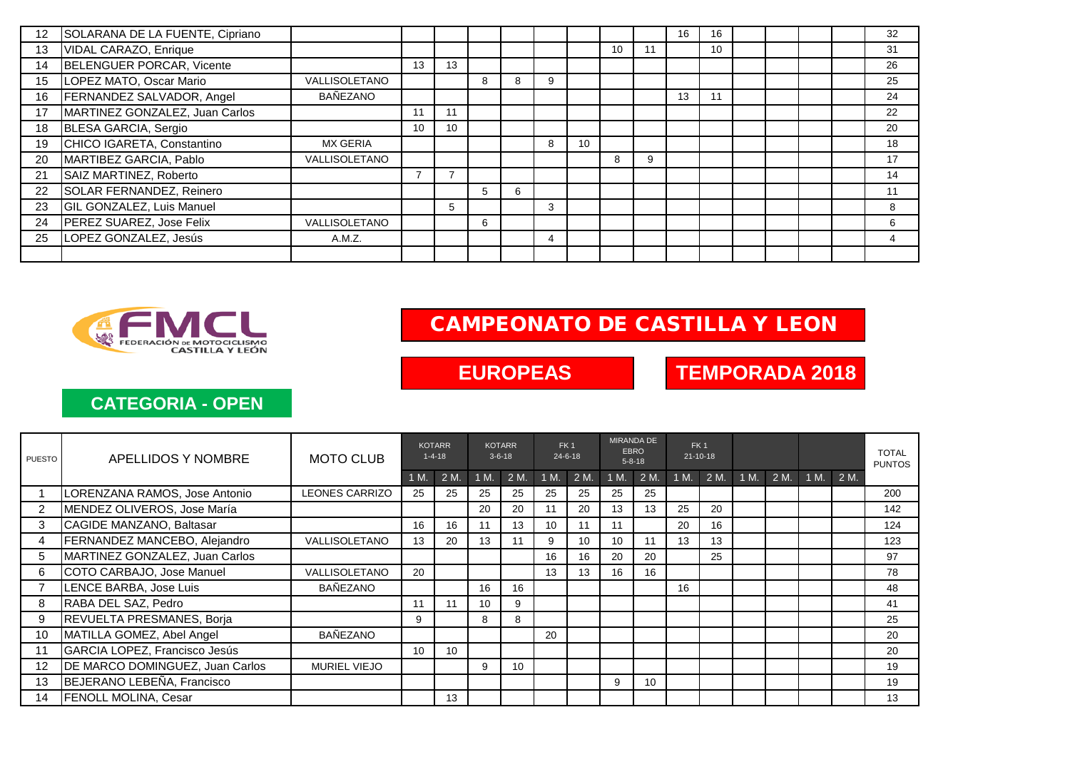| 12 | SOLARANA DE LA FUENTE, Cipriano |                      |    |                 |   |   |   |    |    |    | 16 | 16              |  |  | 32 |
|----|---------------------------------|----------------------|----|-----------------|---|---|---|----|----|----|----|-----------------|--|--|----|
| 13 | VIDAL CARAZO, Enrique           |                      |    |                 |   |   |   |    | 10 | 11 |    | 10 <sup>1</sup> |  |  | 31 |
| 14 | BELENGUER PORCAR, Vicente       |                      | 13 | 13              |   |   |   |    |    |    |    |                 |  |  | 26 |
| 15 | LOPEZ MATO, Oscar Mario         | <b>VALLISOLETANO</b> |    |                 | 8 | 8 | 9 |    |    |    |    |                 |  |  | 25 |
| 16 | FERNANDEZ SALVADOR, Angel       | BAÑEZANO             |    |                 |   |   |   |    |    |    | 13 | 11              |  |  | 24 |
| 17 | MARTINEZ GONZALEZ, Juan Carlos  |                      | 11 | 11              |   |   |   |    |    |    |    |                 |  |  | 22 |
| 18 | BLESA GARCIA, Sergio            |                      | 10 | 10 <sup>°</sup> |   |   |   |    |    |    |    |                 |  |  | 20 |
| 19 | CHICO IGARETA, Constantino      | <b>MX GERIA</b>      |    |                 |   |   | 8 | 10 |    |    |    |                 |  |  | 18 |
| 20 | MARTIBEZ GARCIA, Pablo          | <b>VALLISOLETANO</b> |    |                 |   |   |   |    | 8  | 9  |    |                 |  |  | 17 |
| 21 | SAIZ MARTINEZ, Roberto          |                      |    |                 |   |   |   |    |    |    |    |                 |  |  | 14 |
| 22 | SOLAR FERNANDEZ, Reinero        |                      |    |                 | 5 | 6 |   |    |    |    |    |                 |  |  | 11 |
| 23 | GIL GONZALEZ, Luis Manuel       |                      |    | 5               |   |   | 3 |    |    |    |    |                 |  |  | 8  |
| 24 | PEREZ SUAREZ, Jose Felix        | VALLISOLETANO        |    |                 | 6 |   |   |    |    |    |    |                 |  |  | 6  |
| 25 | LOPEZ GONZALEZ, Jesús           | A.M.Z.               |    |                 |   |   | 4 |    |    |    |    |                 |  |  | 4  |
|    |                                 |                      |    |                 |   |   |   |    |    |    |    |                 |  |  |    |



## CAMPEONATO DE CASTILLA Y LEON

**EUROPEAS** 

**TEMPORADA 2018**

### **CATEGORIA - OPEN**

| PUESTO         | APELLIDOS Y NOMBRE              | <b>MOTO CLUB</b>      | <b>KOTARR</b><br>$1 - 4 - 18$ |      | <b>KOTARR</b><br>$3 - 6 - 18$ |      | FK <sub>1</sub><br>$24 - 6 - 18$ |      | <b>MIRANDA DE</b><br><b>EBRO</b><br>$5 - 8 - 18$ |      | FK <sub>1</sub><br>$21 - 10 - 18$ |      |      |      |      |      | <b>TOTAL</b><br><b>PUNTOS</b> |
|----------------|---------------------------------|-----------------------|-------------------------------|------|-------------------------------|------|----------------------------------|------|--------------------------------------------------|------|-----------------------------------|------|------|------|------|------|-------------------------------|
|                |                                 |                       | 1 M.                          | 2 M. | 1 M                           | 2 M. | 1 M.                             | 2 M. | 1 M.                                             | 2 M. | 1 M.                              | 2 M. | 1 M. | 2 M. | 1 M. | 2 M. |                               |
|                | LORENZANA RAMOS, Jose Antonio   | <b>LEONES CARRIZO</b> | 25                            | 25   | 25                            | 25   | 25                               | 25   | 25                                               | 25   |                                   |      |      |      |      |      | 200                           |
| 2              | MENDEZ OLIVEROS, Jose María     |                       |                               |      | 20                            | 20   | 11                               | 20   | 13                                               | 13   | 25                                | 20   |      |      |      |      | 142                           |
| 3              | CAGIDE MANZANO, Baltasar        |                       | 16                            | 16   | 11                            | 13   | 10                               | 11   | 11                                               |      | 20                                | 16   |      |      |      |      | 124                           |
| 4              | FERNANDEZ MANCEBO, Alejandro    | VALLISOLETANO         | 13                            | 20   | 13                            | 11   | 9                                | 10   | 10                                               | 11   | 13                                | 13   |      |      |      |      | 123                           |
| 5              | MARTINEZ GONZALEZ, Juan Carlos  |                       |                               |      |                               |      | 16                               | 16   | 20                                               | 20   |                                   | 25   |      |      |      |      | 97                            |
| 6              | COTO CARBAJO, Jose Manuel       | VALLISOLETANO         | 20                            |      |                               |      | 13                               | 13   | 16                                               | 16   |                                   |      |      |      |      |      | 78                            |
| $\overline{7}$ | LENCE BARBA, Jose Luis          | <b>BAÑEZANO</b>       |                               |      | 16                            | 16   |                                  |      |                                                  |      | 16                                |      |      |      |      |      | 48                            |
| 8              | RABA DEL SAZ, Pedro             |                       | 11                            | 11   | 10 <sup>1</sup>               | 9    |                                  |      |                                                  |      |                                   |      |      |      |      |      | 41                            |
| 9              | REVUELTA PRESMANES, Borja       |                       | 9                             |      | 8                             | 8    |                                  |      |                                                  |      |                                   |      |      |      |      |      | 25                            |
| 10             | MATILLA GOMEZ, Abel Angel       | <b>BAÑEZANO</b>       |                               |      |                               |      | 20                               |      |                                                  |      |                                   |      |      |      |      |      | 20                            |
| 11             | GARCIA LOPEZ, Francisco Jesús   |                       | 10                            | 10   |                               |      |                                  |      |                                                  |      |                                   |      |      |      |      |      | 20                            |
| 12             | DE MARCO DOMINGUEZ, Juan Carlos | <b>MURIEL VIEJO</b>   |                               |      | 9                             | 10   |                                  |      |                                                  |      |                                   |      |      |      |      |      | 19                            |
| 13             | BEJERANO LEBEÑA, Francisco      |                       |                               |      |                               |      |                                  |      | 9                                                | 10   |                                   |      |      |      |      |      | 19                            |
| 14             | <b>IFENOLL MOLINA, Cesar</b>    |                       |                               | 13   |                               |      |                                  |      |                                                  |      |                                   |      |      |      |      |      | 13                            |